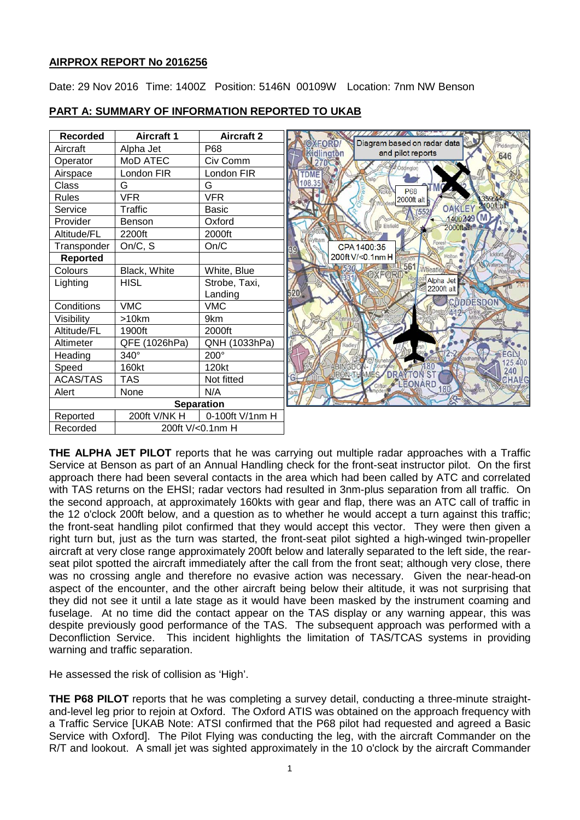# **AIRPROX REPORT No 2016256**

Date: 29 Nov 2016 Time: 1400Z Position: 5146N 00109W Location: 7nm NW Benson

| <b>Recorded</b>   | <b>Aircraft 1</b> | <b>Aircraft 2</b> | <b>State of the State of the State of the State of the State of the State of the State of the State of the State</b> |
|-------------------|-------------------|-------------------|----------------------------------------------------------------------------------------------------------------------|
| Aircraft          | Alpha Jet         | P68               | Diagram based on radar data<br>0XEORD/<br>Piddington<br>Kidlington<br>and pilot reports                              |
| Operator          | MoD ATEC          | Civ Comm          | 646                                                                                                                  |
| Airspace          | London FIR        | London FIR        | TDME                                                                                                                 |
| Class             | G                 | G                 | 108.35<br>P68                                                                                                        |
| <b>Rules</b>      | <b>VFR</b>        | VFR               | 2000ft alt                                                                                                           |
| Service           | Traffic           | <b>Basic</b>      | 2100ft alt<br><b>OAKLEY</b><br>(552)                                                                                 |
| Provider          | Benson            | Oxford            | 1400249<br><b>Ja Eisfield</b><br>2000ft alt                                                                          |
| Altitude/FL       | 2200ft            | 2000ft            |                                                                                                                      |
| Transponder       | On/C, S           | On/C              | Fores<br>CPA 1400:35                                                                                                 |
| <b>Reported</b>   |                   |                   | 200ft V/<0.1nm H                                                                                                     |
| Colours           | Black, White      | White, Blue       | 561<br>Vheatley                                                                                                      |
| Lighting          | <b>HISL</b>       | Strobe, Taxi,     | Alpha Jet<br>2200ft alt                                                                                              |
|                   |                   | Landing           | 520                                                                                                                  |
| Conditions        | <b>VMC</b>        | VMC               | <b>CUDDESDON</b>                                                                                                     |
| Visibility        | $>10$ km          | 9km               |                                                                                                                      |
| Altitude/FL       | 1900ft            | 2000ft            |                                                                                                                      |
| Altimeter         | QFE (1026hPa)     | QNH (1033hPa)     | tadle                                                                                                                |
| Heading           | 340°              | 200°              |                                                                                                                      |
| Speed             | 160kt             | 120kt             | 25,400                                                                                                               |
| <b>ACAS/TAS</b>   | <b>TAS</b>        | Not fitted        | <b>DRAYTON ST</b><br><b>HAMES</b><br>LEONARD                                                                         |
| Alert             | None              | N/A               | 180<br><b>MARCTOR</b>                                                                                                |
| <b>Separation</b> |                   |                   |                                                                                                                      |
| Reported          | 200ft V/NK H      | 0-100ft V/1nm H   |                                                                                                                      |
| Recorded          |                   | 200ft V/<0.1nm H  |                                                                                                                      |

### **PART A: SUMMARY OF INFORMATION REPORTED TO UKAB**

**THE ALPHA JET PILOT** reports that he was carrying out multiple radar approaches with a Traffic Service at Benson as part of an Annual Handling check for the front-seat instructor pilot. On the first approach there had been several contacts in the area which had been called by ATC and correlated with TAS returns on the EHSI; radar vectors had resulted in 3nm-plus separation from all traffic. On the second approach, at approximately 160kts with gear and flap, there was an ATC call of traffic in the 12 o'clock 200ft below, and a question as to whether he would accept a turn against this traffic; the front-seat handling pilot confirmed that they would accept this vector. They were then given a right turn but, just as the turn was started, the front-seat pilot sighted a high-winged twin-propeller aircraft at very close range approximately 200ft below and laterally separated to the left side, the rearseat pilot spotted the aircraft immediately after the call from the front seat; although very close, there was no crossing angle and therefore no evasive action was necessary. Given the near-head-on aspect of the encounter, and the other aircraft being below their altitude, it was not surprising that they did not see it until a late stage as it would have been masked by the instrument coaming and fuselage. At no time did the contact appear on the TAS display or any warning appear, this was despite previously good performance of the TAS. The subsequent approach was performed with a Deconfliction Service. This incident highlights the limitation of TAS/TCAS systems in providing warning and traffic separation.

He assessed the risk of collision as 'High'.

**THE P68 PILOT** reports that he was completing a survey detail, conducting a three-minute straightand-level leg prior to rejoin at Oxford. The Oxford ATIS was obtained on the approach frequency with a Traffic Service [UKAB Note: ATSI confirmed that the P68 pilot had requested and agreed a Basic Service with Oxford]. The Pilot Flying was conducting the leg, with the aircraft Commander on the R/T and lookout. A small jet was sighted approximately in the 10 o'clock by the aircraft Commander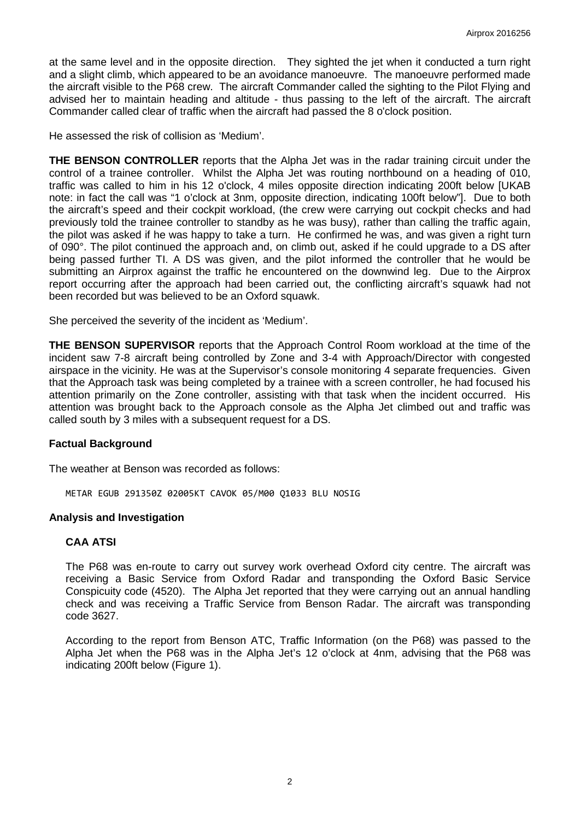at the same level and in the opposite direction. They sighted the jet when it conducted a turn right and a slight climb, which appeared to be an avoidance manoeuvre. The manoeuvre performed made the aircraft visible to the P68 crew. The aircraft Commander called the sighting to the Pilot Flying and advised her to maintain heading and altitude - thus passing to the left of the aircraft. The aircraft Commander called clear of traffic when the aircraft had passed the 8 o'clock position.

He assessed the risk of collision as 'Medium'.

**THE BENSON CONTROLLER** reports that the Alpha Jet was in the radar training circuit under the control of a trainee controller. Whilst the Alpha Jet was routing northbound on a heading of 010, traffic was called to him in his 12 o'clock, 4 miles opposite direction indicating 200ft below [UKAB note: in fact the call was "1 o'clock at 3nm, opposite direction, indicating 100ft below"]. Due to both the aircraft's speed and their cockpit workload, (the crew were carrying out cockpit checks and had previously told the trainee controller to standby as he was busy), rather than calling the traffic again, the pilot was asked if he was happy to take a turn. He confirmed he was, and was given a right turn of 090°. The pilot continued the approach and, on climb out, asked if he could upgrade to a DS after being passed further TI. A DS was given, and the pilot informed the controller that he would be submitting an Airprox against the traffic he encountered on the downwind leg. Due to the Airprox report occurring after the approach had been carried out, the conflicting aircraft's squawk had not been recorded but was believed to be an Oxford squawk.

She perceived the severity of the incident as 'Medium'.

**THE BENSON SUPERVISOR** reports that the Approach Control Room workload at the time of the incident saw 7-8 aircraft being controlled by Zone and 3-4 with Approach/Director with congested airspace in the vicinity. He was at the Supervisor's console monitoring 4 separate frequencies. Given that the Approach task was being completed by a trainee with a screen controller, he had focused his attention primarily on the Zone controller, assisting with that task when the incident occurred. His attention was brought back to the Approach console as the Alpha Jet climbed out and traffic was called south by 3 miles with a subsequent request for a DS.

#### **Factual Background**

The weather at Benson was recorded as follows:

METAR EGUB 291350Z 02005KT CAVOK 05/M00 Q1033 BLU NOSIG

#### **Analysis and Investigation**

#### **CAA ATSI**

The P68 was en-route to carry out survey work overhead Oxford city centre. The aircraft was receiving a Basic Service from Oxford Radar and transponding the Oxford Basic Service Conspicuity code (4520). The Alpha Jet reported that they were carrying out an annual handling check and was receiving a Traffic Service from Benson Radar. The aircraft was transponding code 3627.

According to the report from Benson ATC, Traffic Information (on the P68) was passed to the Alpha Jet when the P68 was in the Alpha Jet's 12 o'clock at 4nm, advising that the P68 was indicating 200ft below (Figure 1).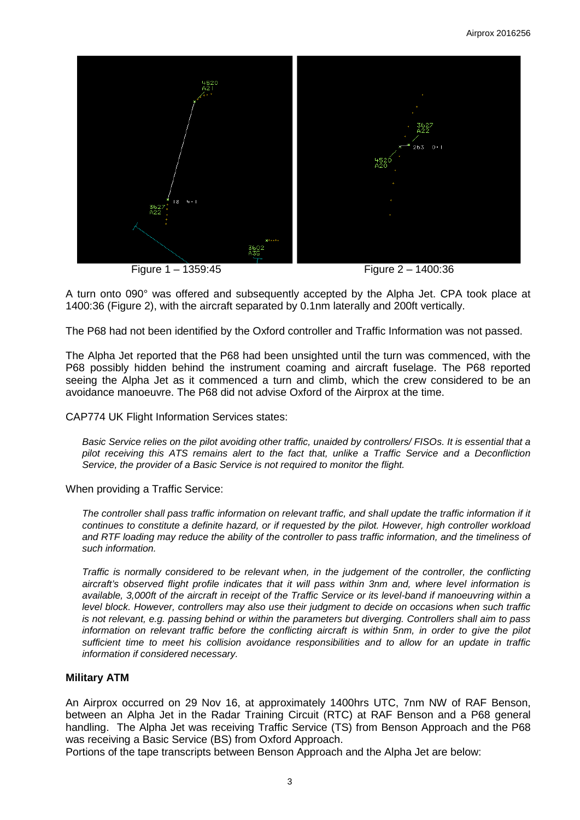

Figure 1 – 1359:45 Figure 2 – 1400:36

A turn onto 090° was offered and subsequently accepted by the Alpha Jet. CPA took place at 1400:36 (Figure 2), with the aircraft separated by 0.1nm laterally and 200ft vertically.

The P68 had not been identified by the Oxford controller and Traffic Information was not passed.

The Alpha Jet reported that the P68 had been unsighted until the turn was commenced, with the P68 possibly hidden behind the instrument coaming and aircraft fuselage. The P68 reported seeing the Alpha Jet as it commenced a turn and climb, which the crew considered to be an avoidance manoeuvre. The P68 did not advise Oxford of the Airprox at the time.

CAP774 UK Flight Information Services states:

*Basic Service relies on the pilot avoiding other traffic, unaided by controllers/ FISOs. It is essential that a pilot receiving this ATS remains alert to the fact that, unlike a Traffic Service and a Deconfliction Service, the provider of a Basic Service is not required to monitor the flight.*

When providing a Traffic Service:

*The controller shall pass traffic information on relevant traffic, and shall update the traffic information if it continues to constitute a definite hazard, or if requested by the pilot. However, high controller workload and RTF loading may reduce the ability of the controller to pass traffic information, and the timeliness of such information.*

*Traffic is normally considered to be relevant when, in the judgement of the controller, the conflicting aircraft's observed flight profile indicates that it will pass within 3nm and, where level information is available, 3,000ft of the aircraft in receipt of the Traffic Service or its level-band if manoeuvring within a level block. However, controllers may also use their judgment to decide on occasions when such traffic is not relevant, e.g. passing behind or within the parameters but diverging. Controllers shall aim to pass information on relevant traffic before the conflicting aircraft is within 5nm, in order to give the pilot sufficient time to meet his collision avoidance responsibilities and to allow for an update in traffic information if considered necessary.*

#### **Military ATM**

An Airprox occurred on 29 Nov 16, at approximately 1400hrs UTC, 7nm NW of RAF Benson, between an Alpha Jet in the Radar Training Circuit (RTC) at RAF Benson and a P68 general handling. The Alpha Jet was receiving Traffic Service (TS) from Benson Approach and the P68 was receiving a Basic Service (BS) from Oxford Approach.

Portions of the tape transcripts between Benson Approach and the Alpha Jet are below: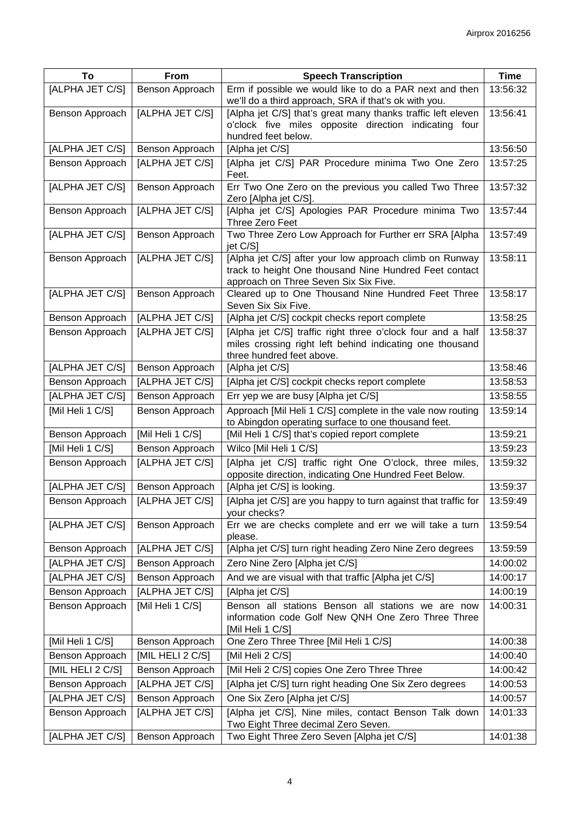| To               | From             | <b>Speech Transcription</b>                                                                                                                                | <b>Time</b> |
|------------------|------------------|------------------------------------------------------------------------------------------------------------------------------------------------------------|-------------|
| [ALPHA JET C/S]  | Benson Approach  | Erm if possible we would like to do a PAR next and then<br>we'll do a third approach, SRA if that's ok with you.                                           | 13:56:32    |
| Benson Approach  | [ALPHA JET C/S]  | [Alpha jet C/S] that's great many thanks traffic left eleven<br>o'clock five miles opposite direction indicating four<br>hundred feet below.               | 13:56:41    |
| [ALPHA JET C/S]  | Benson Approach  | [Alpha jet C/S]                                                                                                                                            | 13:56:50    |
| Benson Approach  | [ALPHA JET C/S]  | [Alpha jet C/S] PAR Procedure minima Two One Zero<br>Feet.                                                                                                 | 13:57:25    |
| [ALPHA JET C/S]  | Benson Approach  | Err Two One Zero on the previous you called Two Three<br>Zero [Alpha jet C/S].                                                                             | 13:57:32    |
| Benson Approach  | [ALPHA JET C/S]  | [Alpha jet C/S] Apologies PAR Procedure minima Two<br>Three Zero Feet                                                                                      | 13:57:44    |
| [ALPHA JET C/S]  | Benson Approach  | Two Three Zero Low Approach for Further err SRA [Alpha<br>jet C/S]                                                                                         | 13:57:49    |
| Benson Approach  | [ALPHA JET C/S]  | [Alpha jet C/S] after your low approach climb on Runway<br>track to height One thousand Nine Hundred Feet contact<br>approach on Three Seven Six Six Five. | 13:58:11    |
| [ALPHA JET C/S]  | Benson Approach  | Cleared up to One Thousand Nine Hundred Feet Three<br>Seven Six Six Five.                                                                                  | 13:58:17    |
| Benson Approach  | [ALPHA JET C/S]  | [Alpha jet C/S] cockpit checks report complete                                                                                                             | 13:58:25    |
| Benson Approach  | [ALPHA JET C/S]  | [Alpha jet C/S] traffic right three o'clock four and a half<br>miles crossing right left behind indicating one thousand<br>three hundred feet above.       | 13:58:37    |
| [ALPHA JET C/S]  | Benson Approach  | [Alpha jet C/S]                                                                                                                                            | 13:58:46    |
| Benson Approach  | [ALPHA JET C/S]  | [Alpha jet C/S] cockpit checks report complete                                                                                                             | 13:58:53    |
| [ALPHA JET C/S]  | Benson Approach  | Err yep we are busy [Alpha jet C/S]                                                                                                                        | 13:58:55    |
| [Mil Heli 1 C/S] | Benson Approach  | Approach [Mil Heli 1 C/S] complete in the vale now routing<br>to Abingdon operating surface to one thousand feet.                                          | 13:59:14    |
| Benson Approach  | [Mil Heli 1 C/S] | [Mil Heli 1 C/S] that's copied report complete                                                                                                             | 13:59:21    |
| [Mil Heli 1 C/S] | Benson Approach  | Wilco [Mil Heli 1 C/S]                                                                                                                                     | 13:59:23    |
| Benson Approach  | [ALPHA JET C/S]  | [Alpha jet C/S] traffic right One O'clock, three miles,<br>opposite direction, indicating One Hundred Feet Below.                                          | 13:59:32    |
| [ALPHA JET C/S]  | Benson Approach  | [Alpha jet C/S] is looking.                                                                                                                                | 13:59:37    |
| Benson Approach  | [ALPHA JET C/S]  | [Alpha jet C/S] are you happy to turn against that traffic for<br>your checks?                                                                             | 13:59:49    |
| [ALPHA JET C/S]  | Benson Approach  | Err we are checks complete and err we will take a turn<br>please.                                                                                          | 13:59:54    |
| Benson Approach  | [ALPHA JET C/S]  | [Alpha jet C/S] turn right heading Zero Nine Zero degrees                                                                                                  | 13:59:59    |
| [ALPHA JET C/S]  | Benson Approach  | Zero Nine Zero [Alpha jet C/S]                                                                                                                             | 14:00:02    |
| [ALPHA JET C/S]  | Benson Approach  | And we are visual with that traffic [Alpha jet C/S]                                                                                                        | 14:00:17    |
| Benson Approach  | [ALPHA JET C/S]  | [Alpha jet C/S]                                                                                                                                            | 14:00:19    |
| Benson Approach  | [Mil Heli 1 C/S] | Benson all stations Benson all stations we are now<br>information code Golf New QNH One Zero Three Three<br>[Mil Heli 1 C/S]                               | 14:00:31    |
| [Mil Heli 1 C/S] | Benson Approach  | One Zero Three Three [Mil Heli 1 C/S]                                                                                                                      | 14:00:38    |
| Benson Approach  | [MIL HELI 2 C/S] | [Mil Heli 2 C/S]                                                                                                                                           | 14:00:40    |
| [MIL HELI 2 C/S] | Benson Approach  | [Mil Heli 2 C/S] copies One Zero Three Three                                                                                                               | 14:00:42    |
| Benson Approach  | [ALPHA JET C/S]  | [Alpha jet C/S] turn right heading One Six Zero degrees                                                                                                    | 14:00:53    |
| [ALPHA JET C/S]  | Benson Approach  | One Six Zero [Alpha jet C/S]                                                                                                                               | 14:00:57    |
| Benson Approach  | [ALPHA JET C/S]  | [Alpha jet C/S], Nine miles, contact Benson Talk down<br>Two Eight Three decimal Zero Seven.                                                               | 14:01:33    |
| [ALPHA JET C/S]  | Benson Approach  | Two Eight Three Zero Seven [Alpha jet C/S]                                                                                                                 | 14:01:38    |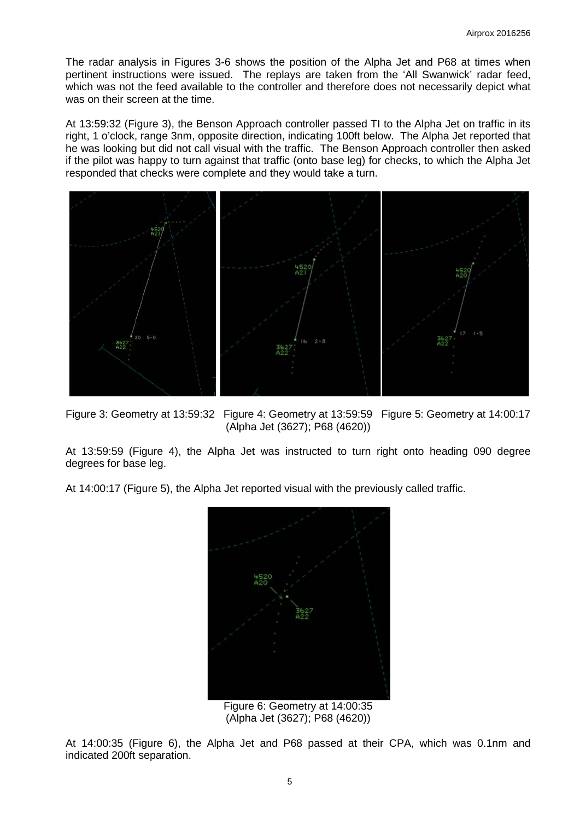The radar analysis in Figures 3-6 shows the position of the Alpha Jet and P68 at times when pertinent instructions were issued. The replays are taken from the 'All Swanwick' radar feed, which was not the feed available to the controller and therefore does not necessarily depict what was on their screen at the time.

At 13:59:32 (Figure 3), the Benson Approach controller passed TI to the Alpha Jet on traffic in its right, 1 o'clock, range 3nm, opposite direction, indicating 100ft below. The Alpha Jet reported that he was looking but did not call visual with the traffic. The Benson Approach controller then asked if the pilot was happy to turn against that traffic (onto base leg) for checks, to which the Alpha Jet responded that checks were complete and they would take a turn.



Figure 3: Geometry at 13:59:32 Figure 4: Geometry at 13:59:59 Figure 5: Geometry at 14:00:17

(Alpha Jet (3627); P68 (4620))

At 13:59:59 (Figure 4), the Alpha Jet was instructed to turn right onto heading 090 degree degrees for base leg.

At 14:00:17 (Figure 5), the Alpha Jet reported visual with the previously called traffic.



Figure 6: Geometry at 14:00:35 (Alpha Jet (3627); P68 (4620))

At 14:00:35 (Figure 6), the Alpha Jet and P68 passed at their CPA, which was 0.1nm and indicated 200ft separation.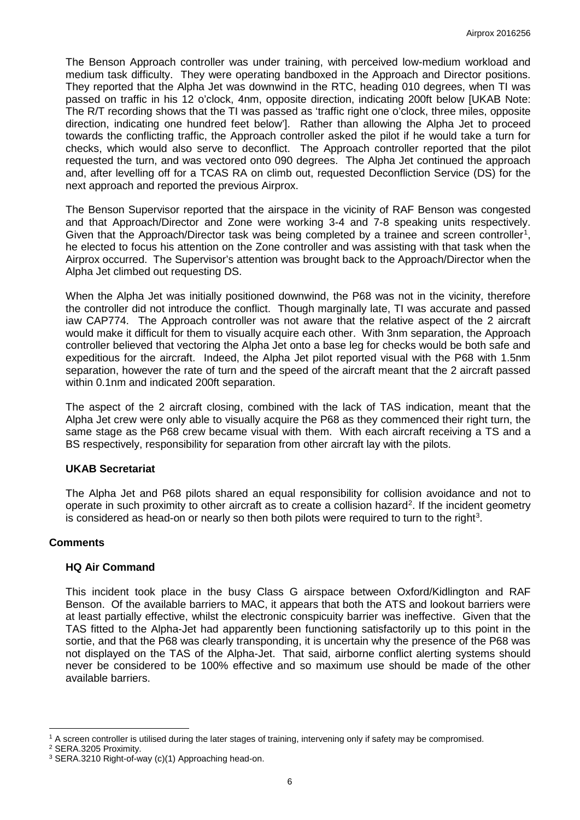The Benson Approach controller was under training, with perceived low-medium workload and medium task difficulty. They were operating bandboxed in the Approach and Director positions. They reported that the Alpha Jet was downwind in the RTC, heading 010 degrees, when TI was passed on traffic in his 12 o'clock, 4nm, opposite direction, indicating 200ft below [UKAB Note: The R/T recording shows that the TI was passed as 'traffic right one o'clock, three miles, opposite direction, indicating one hundred feet below']. Rather than allowing the Alpha Jet to proceed towards the conflicting traffic, the Approach controller asked the pilot if he would take a turn for checks, which would also serve to deconflict. The Approach controller reported that the pilot requested the turn, and was vectored onto 090 degrees. The Alpha Jet continued the approach and, after levelling off for a TCAS RA on climb out, requested Deconfliction Service (DS) for the next approach and reported the previous Airprox.

The Benson Supervisor reported that the airspace in the vicinity of RAF Benson was congested and that Approach/Director and Zone were working 3-4 and 7-8 speaking units respectively. Given that the Approach/Director task was being completed by a trainee and screen controller<sup>[1](#page-5-0)</sup>, he elected to focus his attention on the Zone controller and was assisting with that task when the Airprox occurred. The Supervisor's attention was brought back to the Approach/Director when the Alpha Jet climbed out requesting DS.

When the Alpha Jet was initially positioned downwind, the P68 was not in the vicinity, therefore the controller did not introduce the conflict. Though marginally late, TI was accurate and passed iaw CAP774. The Approach controller was not aware that the relative aspect of the 2 aircraft would make it difficult for them to visually acquire each other. With 3nm separation, the Approach controller believed that vectoring the Alpha Jet onto a base leg for checks would be both safe and expeditious for the aircraft. Indeed, the Alpha Jet pilot reported visual with the P68 with 1.5nm separation, however the rate of turn and the speed of the aircraft meant that the 2 aircraft passed within 0.1nm and indicated 200ft separation.

The aspect of the 2 aircraft closing, combined with the lack of TAS indication, meant that the Alpha Jet crew were only able to visually acquire the P68 as they commenced their right turn, the same stage as the P68 crew became visual with them. With each aircraft receiving a TS and a BS respectively, responsibility for separation from other aircraft lay with the pilots.

#### **UKAB Secretariat**

The Alpha Jet and P68 pilots shared an equal responsibility for collision avoidance and not to operate in such proximity to other aircraft as to create a collision hazard<sup>[2](#page-5-1)</sup>. If the incident geometry is considered as head-on or nearly so then both pilots were required to turn to the right<sup>[3](#page-5-2)</sup>.

#### **Comments**

# **HQ Air Command**

This incident took place in the busy Class G airspace between Oxford/Kidlington and RAF Benson. Of the available barriers to MAC, it appears that both the ATS and lookout barriers were at least partially effective, whilst the electronic conspicuity barrier was ineffective. Given that the TAS fitted to the Alpha-Jet had apparently been functioning satisfactorily up to this point in the sortie, and that the P68 was clearly transponding, it is uncertain why the presence of the P68 was not displayed on the TAS of the Alpha-Jet. That said, airborne conflict alerting systems should never be considered to be 100% effective and so maximum use should be made of the other available barriers.

 $\overline{\phantom{a}}$ 

<span id="page-5-0"></span><sup>1</sup> A screen controller is utilised during the later stages of training, intervening only if safety may be compromised.

<span id="page-5-1"></span><sup>2</sup> SERA.3205 Proximity.

<span id="page-5-2"></span><sup>3</sup> SERA.3210 Right-of-way (c)(1) Approaching head-on.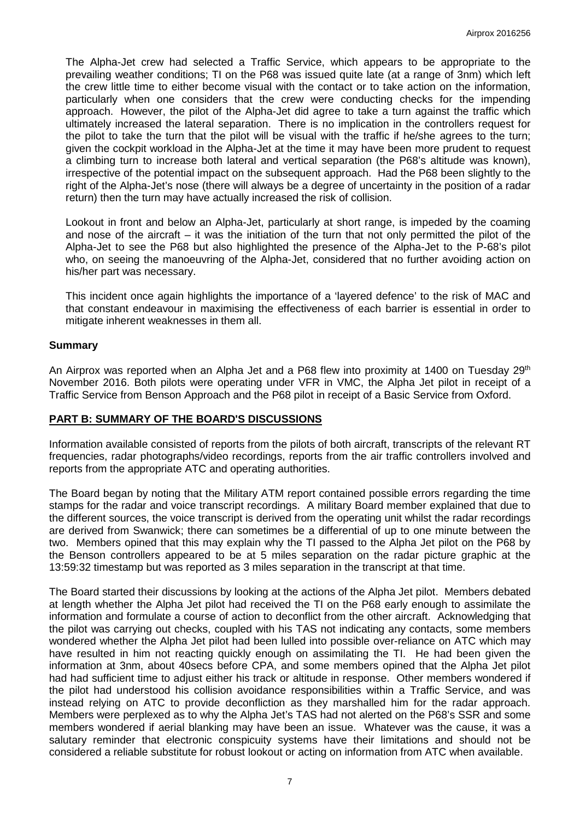The Alpha-Jet crew had selected a Traffic Service, which appears to be appropriate to the prevailing weather conditions; TI on the P68 was issued quite late (at a range of 3nm) which left the crew little time to either become visual with the contact or to take action on the information, particularly when one considers that the crew were conducting checks for the impending approach. However, the pilot of the Alpha-Jet did agree to take a turn against the traffic which ultimately increased the lateral separation. There is no implication in the controllers request for the pilot to take the turn that the pilot will be visual with the traffic if he/she agrees to the turn; given the cockpit workload in the Alpha-Jet at the time it may have been more prudent to request a climbing turn to increase both lateral and vertical separation (the P68's altitude was known), irrespective of the potential impact on the subsequent approach. Had the P68 been slightly to the right of the Alpha-Jet's nose (there will always be a degree of uncertainty in the position of a radar return) then the turn may have actually increased the risk of collision.

Lookout in front and below an Alpha-Jet, particularly at short range, is impeded by the coaming and nose of the aircraft – it was the initiation of the turn that not only permitted the pilot of the Alpha-Jet to see the P68 but also highlighted the presence of the Alpha-Jet to the P-68's pilot who, on seeing the manoeuvring of the Alpha-Jet, considered that no further avoiding action on his/her part was necessary.

This incident once again highlights the importance of a 'layered defence' to the risk of MAC and that constant endeavour in maximising the effectiveness of each barrier is essential in order to mitigate inherent weaknesses in them all.

### **Summary**

An Airprox was reported when an Alpha Jet and a P68 flew into proximity at 1400 on Tuesday 29<sup>th</sup> November 2016. Both pilots were operating under VFR in VMC, the Alpha Jet pilot in receipt of a Traffic Service from Benson Approach and the P68 pilot in receipt of a Basic Service from Oxford.

#### **PART B: SUMMARY OF THE BOARD'S DISCUSSIONS**

Information available consisted of reports from the pilots of both aircraft, transcripts of the relevant RT frequencies, radar photographs/video recordings, reports from the air traffic controllers involved and reports from the appropriate ATC and operating authorities.

The Board began by noting that the Military ATM report contained possible errors regarding the time stamps for the radar and voice transcript recordings. A military Board member explained that due to the different sources, the voice transcript is derived from the operating unit whilst the radar recordings are derived from Swanwick; there can sometimes be a differential of up to one minute between the two. Members opined that this may explain why the TI passed to the Alpha Jet pilot on the P68 by the Benson controllers appeared to be at 5 miles separation on the radar picture graphic at the 13:59:32 timestamp but was reported as 3 miles separation in the transcript at that time.

The Board started their discussions by looking at the actions of the Alpha Jet pilot. Members debated at length whether the Alpha Jet pilot had received the TI on the P68 early enough to assimilate the information and formulate a course of action to deconflict from the other aircraft. Acknowledging that the pilot was carrying out checks, coupled with his TAS not indicating any contacts, some members wondered whether the Alpha Jet pilot had been lulled into possible over-reliance on ATC which may have resulted in him not reacting quickly enough on assimilating the TI. He had been given the information at 3nm, about 40secs before CPA, and some members opined that the Alpha Jet pilot had had sufficient time to adjust either his track or altitude in response. Other members wondered if the pilot had understood his collision avoidance responsibilities within a Traffic Service, and was instead relying on ATC to provide deconfliction as they marshalled him for the radar approach. Members were perplexed as to why the Alpha Jet's TAS had not alerted on the P68's SSR and some members wondered if aerial blanking may have been an issue. Whatever was the cause, it was a salutary reminder that electronic conspicuity systems have their limitations and should not be considered a reliable substitute for robust lookout or acting on information from ATC when available.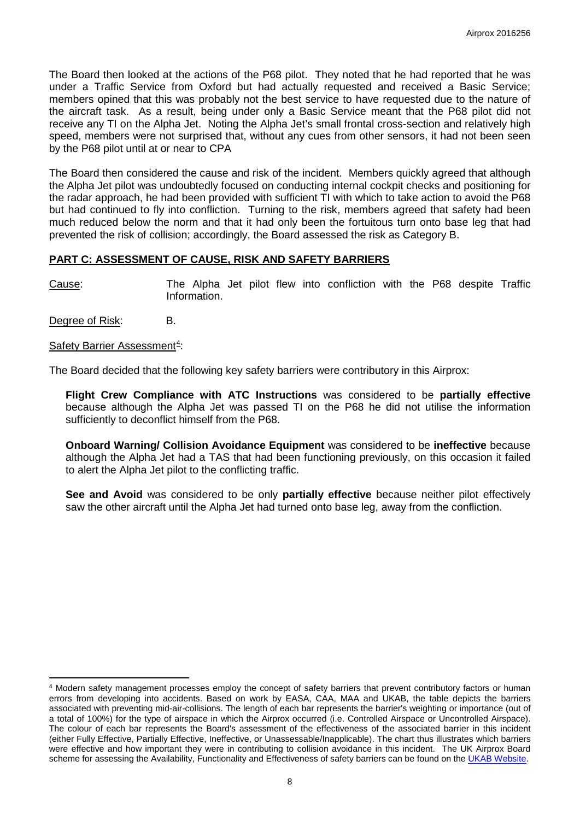The Board then looked at the actions of the P68 pilot. They noted that he had reported that he was under a Traffic Service from Oxford but had actually requested and received a Basic Service; members opined that this was probably not the best service to have requested due to the nature of the aircraft task. As a result, being under only a Basic Service meant that the P68 pilot did not receive any TI on the Alpha Jet. Noting the Alpha Jet's small frontal cross-section and relatively high speed, members were not surprised that, without any cues from other sensors, it had not been seen by the P68 pilot until at or near to CPA

The Board then considered the cause and risk of the incident. Members quickly agreed that although the Alpha Jet pilot was undoubtedly focused on conducting internal cockpit checks and positioning for the radar approach, he had been provided with sufficient TI with which to take action to avoid the P68 but had continued to fly into confliction. Turning to the risk, members agreed that safety had been much reduced below the norm and that it had only been the fortuitous turn onto base leg that had prevented the risk of collision; accordingly, the Board assessed the risk as Category B.

# **PART C: ASSESSMENT OF CAUSE, RISK AND SAFETY BARRIERS**

Cause: The Alpha Jet pilot flew into confliction with the P68 despite Traffic Information.

Degree of Risk: B.

Safety Barrier Assessment<sup>[4](#page-7-0)</sup>:

The Board decided that the following key safety barriers were contributory in this Airprox:

**Flight Crew Compliance with ATC Instructions** was considered to be **partially effective** because although the Alpha Jet was passed TI on the P68 he did not utilise the information sufficiently to deconflict himself from the P68.

**Onboard Warning/ Collision Avoidance Equipment** was considered to be **ineffective** because although the Alpha Jet had a TAS that had been functioning previously, on this occasion it failed to alert the Alpha Jet pilot to the conflicting traffic.

**See and Avoid** was considered to be only **partially effective** because neither pilot effectively saw the other aircraft until the Alpha Jet had turned onto base leg, away from the confliction.

<span id="page-7-0"></span>l <sup>4</sup> Modern safety management processes employ the concept of safety barriers that prevent contributory factors or human errors from developing into accidents. Based on work by EASA, CAA, MAA and UKAB, the table depicts the barriers associated with preventing mid-air-collisions. The length of each bar represents the barrier's weighting or importance (out of a total of 100%) for the type of airspace in which the Airprox occurred (i.e. Controlled Airspace or Uncontrolled Airspace). The colour of each bar represents the Board's assessment of the effectiveness of the associated barrier in this incident (either Fully Effective, Partially Effective, Ineffective, or Unassessable/Inapplicable). The chart thus illustrates which barriers were effective and how important they were in contributing to collision avoidance in this incident. The UK Airprox Board scheme for assessing the Availability, Functionality and Effectiveness of safety barriers can be found on th[e UKAB Website.](http://www.airproxboard.org.uk/Learn-more/Airprox-Barrier-Assessment/)